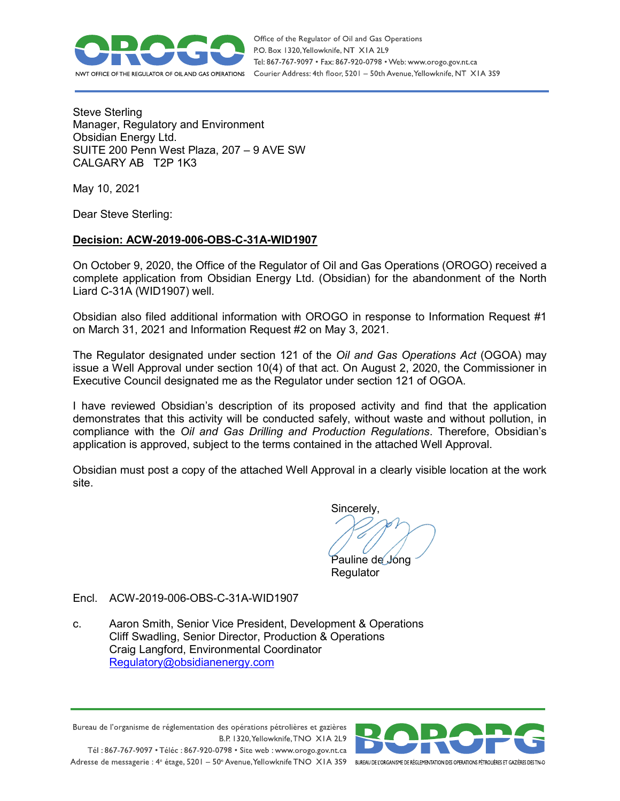

Steve Sterling Manager, Regulatory and Environment Obsidian Energy Ltd. SUITE 200 Penn West Plaza, 207 – 9 AVE SW CALGARY AB T2P 1K3

May 10, 2021

Dear Steve Sterling:

## **Decision: ACW-2019-006-OBS-C-31A-WID1907**

On October 9, 2020, the Office of the Regulator of Oil and Gas Operations (OROGO) received a complete application from Obsidian Energy Ltd. (Obsidian) for the abandonment of the North Liard C-31A (WID1907) well.

Obsidian also filed additional information with OROGO in response to Information Request #1 on March 31, 2021 and Information Request #2 on May 3, 2021.

The Regulator designated under section 121 of the *Oil and Gas Operations Act* (OGOA) may issue a Well Approval under section 10(4) of that act. On August 2, 2020, the Commissioner in Executive Council designated me as the Regulator under section 121 of OGOA.

I have reviewed Obsidian's description of its proposed activity and find that the application demonstrates that this activity will be conducted safely, without waste and without pollution, in compliance with the *Oil and Gas Drilling and Production Regulations*. Therefore, Obsidian's application is approved, subject to the terms contained in the attached Well Approval.

Obsidian must post a copy of the attached Well Approval in a clearly visible location at the work site.

Sincerely,

Pauline de Jong

Regulator

- Encl. ACW-2019-006-OBS-C-31A-WID1907
- c. Aaron Smith, Senior Vice President, Development & Operations Cliff Swadling, Senior Director, Production & Operations Craig Langford, Environmental Coordinator [Regulatory@obsidianenergy.com](mailto:Regulatory@obsidianenergy.com)

Bureau de l'organisme de réglementation des opérations pétrolières et gazières B.P. 1320, Yellowknife, TNO XIA 2L9 Tél: 867-767-9097 • Téléc: 867-920-0798 • Site web: www.orogo.gov.nt.ca Adresse de messagerie : 4<sup>e</sup> étage, 5201 - 50° Avenue, Yellowknife TNO XIA 3S9 BUREAU DEL'ORGANISME DE RÉGLEMENTATION DES OPERATIONS PÉTROLIÈRES ET GAZIÈRES DESTNO

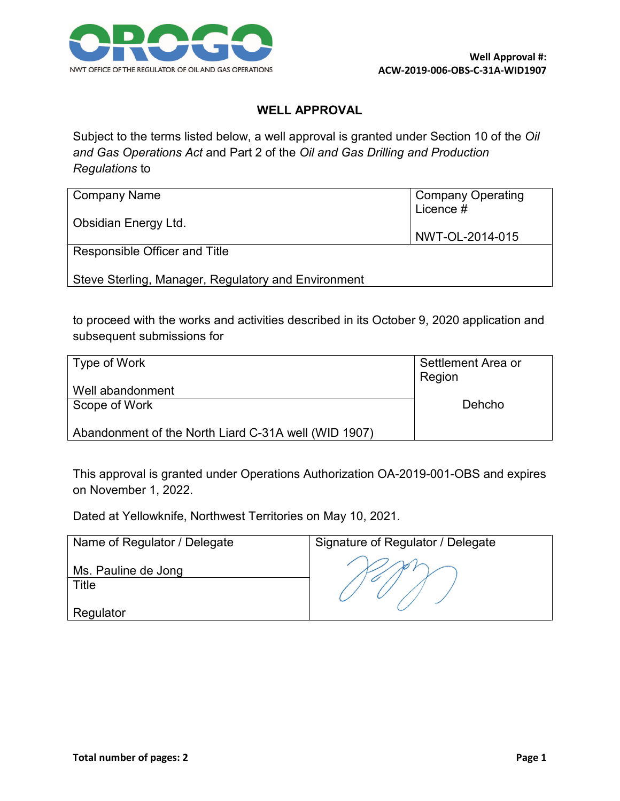

## **WELL APPROVAL**

Subject to the terms listed below, a well approval is granted under Section 10 of the *Oil and Gas Operations Act* and Part 2 of the *Oil and Gas Drilling and Production Regulations* to

| Company Name                                        | <b>Company Operating</b><br>Licence # |
|-----------------------------------------------------|---------------------------------------|
| Obsidian Energy Ltd.                                | NWT-OL-2014-015                       |
| Responsible Officer and Title                       |                                       |
| Steve Sterling, Manager, Regulatory and Environment |                                       |

to proceed with the works and activities described in its October 9, 2020 application and subsequent submissions for

| Type of Work                                         | Settlement Area or<br>Region |
|------------------------------------------------------|------------------------------|
| Well abandonment                                     |                              |
| Scope of Work                                        | Dehcho                       |
| Abandonment of the North Liard C-31A well (WID 1907) |                              |

This approval is granted under Operations Authorization OA-2019-001-OBS and expires on November 1, 2022.

Dated at Yellowknife, Northwest Territories on May 10, 2021.

| Name of Regulator / Delegate       | Signature of Regulator / Delegate |
|------------------------------------|-----------------------------------|
| Ms. Pauline de Jong<br>$\tau$ itle |                                   |
| Regulator                          |                                   |